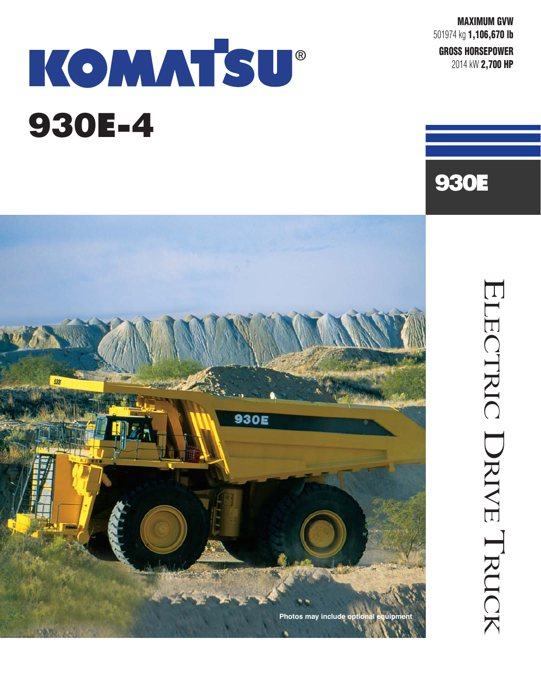**MAXIMUM GVW** 501974 kg **1,106,670 lb GROSS HORSEPOWER** 2014 kW **2,700 HP** 

930E

# KOMMTSU® 930E-4



ELECTRIC ELECTRIC DRIVE TRUCK TRUCK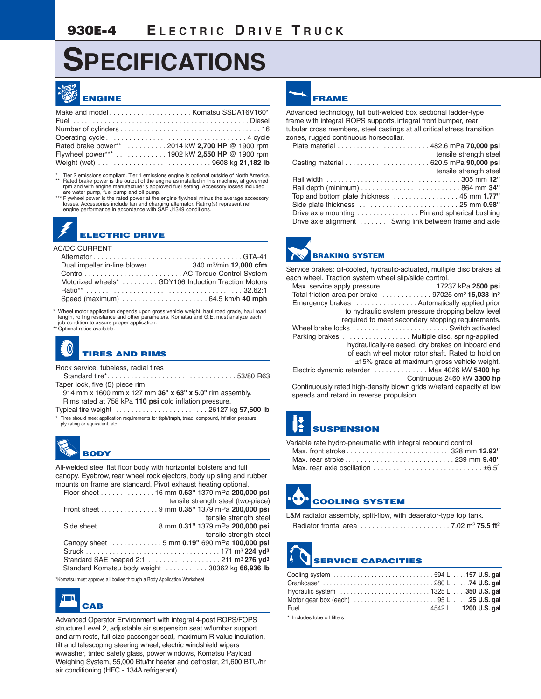# **SPECIFICATIONS**



| Rated brake power** 2014 kW 2,700 HP @ 1900 rpm |  |
|-------------------------------------------------|--|
| Flywheel power*** 1902 kW 2,550 HP @ 1900 rpm   |  |
|                                                 |  |

Tier 2 emissions compliant. Tier 1 emissions engine is optional outside of North America. \*\* Rated brake power is the output of the engine as installed in this machine, at governed rpm and with engine manufacturer's approved fuel setting. Accessory losses included

are water pump, fuel pump and oil pump. \*\*\* Flywheel power is the rated power at the engine flywheel minus the average accessory losses. Accessories include fan and charging alternator. Rating(s) represent net engine performance in accordance with SAE J1349 conditions.

### **ELECTRIC DRIVE**

#### AC/DC CURRENT

|  | Dual impeller in-line blower $\ldots \ldots \ldots 340$ m <sup>3</sup> /min <b>12,000 cfm</b> |
|--|-----------------------------------------------------------------------------------------------|
|  | Control AC Torque Control System                                                              |
|  | Motorized wheels* GDY106 Induction Traction Motors                                            |
|  |                                                                                               |
|  |                                                                                               |
|  |                                                                                               |

\* Wheel motor application depends upon gross vehicle weight, haul road grade, haul road length, rolling resistance and other parameters. Komatsu and G.E. must analyze each job condition to assure proper application. \*\* Optional ratios available.

# **TIRES AND RIMS**

Rock service, tubeless, radial tires

Standard tire\*. . . . . . . . . . . . . . . . . . . . . . . . . . . . . . . . . 53/80 R63 Taper lock, five (5) piece rim

914 mm x 1600 mm x 127 mm **36'' x 63'' x 5.0''** rim assembly. Rims rated at 758 kPa **110 psi** cold inflation pressure.

Typical tire weight . . . . . . . . . . . . . . . . . . . . . . . . 26127 kg **57,600 lb** \* Tires should meet application requirements for tkph/**tmph**, tread, compound, inflation pressure, ply rating or equivalent, etc.



All-welded steel flat floor body with horizontal bolsters and full canopy. Eyebrow, rear wheel rock ejectors, body up sling and rubber mounts on frame are standard. Pivot exhaust heating optional.

| Floor sheet 16 mm 0.63" 1379 mPa 200,000 psi     |
|--------------------------------------------------|
| tensile strength steel (two-piece)               |
| Front sheet 9 mm 0.35" 1379 mPa 200,000 psi      |
| tensile strength steel                           |
|                                                  |
| tensile strength steel                           |
| Canopy sheet 5 mm 0.19" 690 mPa 100,000 psi      |
|                                                  |
|                                                  |
| Standard Komatsu body weight  30362 kg 66,936 lb |

\*Komatsu must approve all bodies through a Body Application Worksheet



Advanced Operator Environment with integral 4-post ROPS/FOPS structure Level 2, adjustable air suspension seat w/lumbar support and arm rests, full-size passenger seat, maximum R-value insulation, tilt and telescoping steering wheel, electric windshield wipers w/washer, tinted safety glass, power windows, Komatsu Payload Weighing System, 55,000 Btu/hr heater and defroster, 21,600 BTU/hr air conditioning (HFC - 134A refrigerant).

### **FRAME**

Advanced technology, full butt-welded box sectional ladder-type frame with integral ROPS supports, integral front bumper, rear tubular cross members, steel castings at all critical stress transition zones, rugged continuous horsecollar.

|                                                         | tensile strength steel |
|---------------------------------------------------------|------------------------|
|                                                         |                        |
|                                                         | tensile strength steel |
|                                                         |                        |
|                                                         |                        |
|                                                         |                        |
|                                                         |                        |
| Drive axle mounting  Pin and spherical bushing          |                        |
| Drive axle alignment  Swing link between frame and axle |                        |



Service brakes: oil-cooled, hydraulic-actuated, multiple disc brakes at each wheel. Traction system wheel slip/slide control.

| Max. service apply pressure $\ldots \ldots \ldots \ldots 17237$ kPa 2500 psi |                                                   |
|------------------------------------------------------------------------------|---------------------------------------------------|
|                                                                              |                                                   |
| Emergency brakes  Automatically applied prior                                |                                                   |
|                                                                              | to hydraulic system pressure dropping below level |
|                                                                              | required to meet secondary stopping requirements. |
|                                                                              |                                                   |
| Parking brakes Multiple disc, spring-applied,                                |                                                   |
|                                                                              | hydraulically-released, dry brakes on inboard end |
|                                                                              | of each wheel motor rotor shaft. Rated to hold on |
|                                                                              | ±15% grade at maximum gross vehicle weight.       |
| Electric dynamic retarder  Max 4026 kW 5400 hp                               |                                                   |
|                                                                              | Continuous 2460 kW 3300 hp                        |
|                                                                              |                                                   |

Continuously rated high-density blown grids w/retard capacity at low speeds and retard in reverse propulsion.

## **SUSPENSION**

| Variable rate hydro-pneumatic with integral rebound control |  |
|-------------------------------------------------------------|--|
|                                                             |  |
|                                                             |  |
| Max, rear axle oscillation $\pm 6.5^{\circ}$                |  |

# **COOLING SYSTEM**

| L&M radiator assembly, split-flow, with deaerator-type top tank. |  |                                            |
|------------------------------------------------------------------|--|--------------------------------------------|
| Radiator frontal area                                            |  | . 7.02 m <sup>2</sup> 75.5 ft <sup>2</sup> |

# **SERVICE CAPACITIES**

\* Includes lube oil filters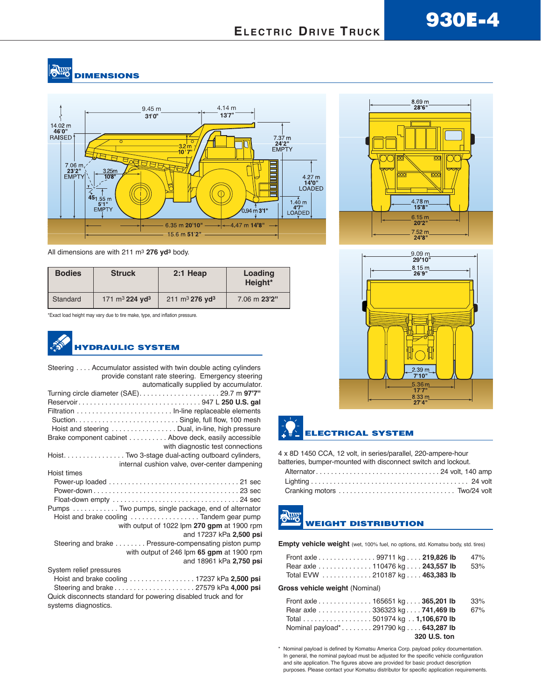#### **SHIP DIMENSIONS**



All dimensions are with 211 m3 **276 yd3** body.

| <b>Bodies</b> | <b>Struck</b>                          | $2:1$ Heap                             | Loading<br>Height* |
|---------------|----------------------------------------|----------------------------------------|--------------------|
| Standard      | 171 m <sup>3</sup> 224 yd <sup>3</sup> | 211 m <sup>3</sup> 276 yd <sup>3</sup> | 7.06 m 23'2"       |

\*Exact load height may vary due to tire make, type, and inflation pressure.



| Steering Accumulator assisted with twin double acting cylinders<br>provide constant rate steering. Emergency steering<br>automatically supplied by accumulator. |
|-----------------------------------------------------------------------------------------------------------------------------------------------------------------|
|                                                                                                                                                                 |
|                                                                                                                                                                 |
|                                                                                                                                                                 |
| Hoist and steering Dual, in-line, high pressure                                                                                                                 |
| Brake component cabinet Above deck, easily accessible                                                                                                           |
| with diagnostic test connections                                                                                                                                |
| Hoist. Two 3-stage dual-acting outboard cylinders,                                                                                                              |
| internal cushion valve, over-center dampening                                                                                                                   |
| Hoist times                                                                                                                                                     |
|                                                                                                                                                                 |
|                                                                                                                                                                 |
|                                                                                                                                                                 |
| Pumps Two pumps, single package, end of alternator                                                                                                              |
| Hoist and brake cooling Tandem gear pump                                                                                                                        |
| with output of 1022 lpm 270 gpm at 1900 rpm                                                                                                                     |
| and 17237 kPa 2,500 psi                                                                                                                                         |
| Steering and brake Pressure-compensating piston pump                                                                                                            |
| with output of 246 lpm 65 gpm at 1900 rpm                                                                                                                       |
| and 18961 kPa 2,750 psi                                                                                                                                         |
| System relief pressures                                                                                                                                         |
|                                                                                                                                                                 |
|                                                                                                                                                                 |
| Quick disconnects standard for powering disabled truck and for                                                                                                  |
| systems diagnostics.                                                                                                                                            |





### **ELECTRICAL SYSTEM**

4 x 8D 1450 CCA, 12 volt, in series/parallel, 220-ampere-hour batteries, bumper-mounted with disconnect switch and lockout.

### **WEIGHT DISTRIBUTION**

**Empty vehicle weight** (wet, 100% fuel, no options, std. Komatsu body, std. tires)

| Front axle 99711 kg 219,826 lb |  | 47% |
|--------------------------------|--|-----|
| Rear axle 110476 kg 243,557 lb |  | 53% |
| Total EVW 210187 kg 463,383 lb |  |     |

#### **Gross vehicle weight** (Nominal)

| Front axle 165651 kg. 365,201 lb    | 33% |
|-------------------------------------|-----|
| Rear axle 336323 kg 741,469 lb      | 67% |
| Total 501974 kg 1,106,670 lb        |     |
| Nominal payload*291790 kg643,287 lb |     |
| 320 U.S. ton                        |     |

\* Nominal payload is defined by Komatsu America Corp. payload policy documentation. In general, the nominal payload must be adjusted for the specific vehicle configuration and site application. The figures above are provided for basic product description purposes. Please contact your Komatsu distributor for specific application requirements.